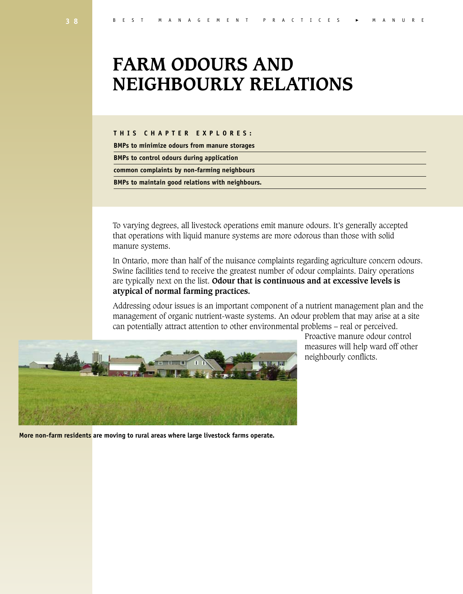# **FARM ODOURS AND NEIGHBOURLY RELATIONS**

#### **T H I S C H A P T E R E X P L O R E S :**

**BMPs to minimize odours from manure storages**

**BMPs to control odours during application**

**common complaints by non-farming neighbours**

**BMPs to maintain good relations with neighbours.**

To varying degrees, all livestock operations emit manure odours. It's generally accepted that operations with liquid manure systems are more odorous than those with solid manure systems.

In Ontario, more than half of the nuisance complaints regarding agriculture concern odours. Swine facilities tend to receive the greatest number of odour complaints. Dairy operations are typically next on the list. **Odour that is continuous and at excessive levels is atypical of normal farming practices.**

Addressing odour issues is an important component of a nutrient management plan and the management of organic nutrient-waste systems. An odour problem that may arise at a site can potentially attract attention to other environmental problems – real or perceived.



**More non-farm residents are moving to rural areas where large livestock farms operate.**

Proactive manure odour control measures will help ward off other neighbourly conflicts.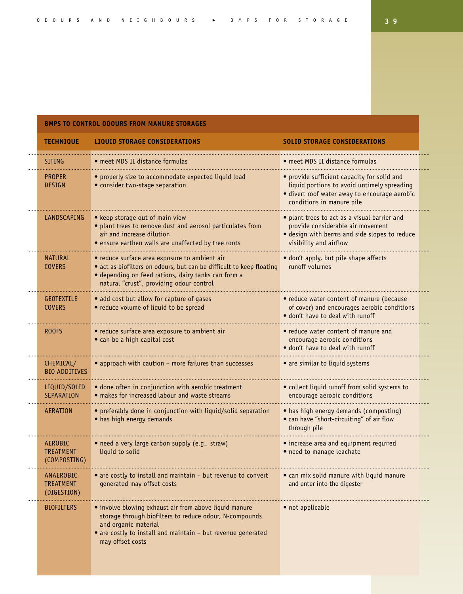#### **BMPS TO CONTROL ODOURS FROM MANURE STORAGES**

| <b>TECHNIQUE</b>                                   | <b>LIQUID STORAGE CONSIDERATIONS</b>                                                                                                                                                                                          | <b>SOLID STORAGE CONSIDERATIONS</b>                                                                                                                                      |  |
|----------------------------------------------------|-------------------------------------------------------------------------------------------------------------------------------------------------------------------------------------------------------------------------------|--------------------------------------------------------------------------------------------------------------------------------------------------------------------------|--|
| SITING                                             | • meet MDS II distance formulas                                                                                                                                                                                               | • meet MDS II distance formulas                                                                                                                                          |  |
| <b>PROPER</b><br><b>DESIGN</b>                     | • properly size to accommodate expected liquid load<br>• consider two-stage separation                                                                                                                                        | • provide sufficient capacity for solid and<br>liquid portions to avoid untimely spreading<br>· divert roof water away to encourage aerobic<br>conditions in manure pile |  |
| LANDSCAPING                                        | • keep storage out of main view<br>· plant trees to remove dust and aerosol particulates from<br>air and increase dilution<br>• ensure earthen walls are unaffected by tree roots                                             | • plant trees to act as a visual barrier and<br>provide considerable air movement<br>· design with berms and side slopes to reduce<br>visibility and airflow             |  |
| <b>NATURAL</b><br><b>COVERS</b>                    | • reduce surface area exposure to ambient air<br>• act as biofilters on odours, but can be difficult to keep floating<br>· depending on feed rations, dairy tanks can form a<br>natural "crust", providing odour control      | · don't apply, but pile shape affects<br>runoff volumes                                                                                                                  |  |
| <b>GEOTEXTILE</b><br><b>COVERS</b>                 | • add cost but allow for capture of gases<br>• reduce volume of liquid to be spread                                                                                                                                           | • reduce water content of manure (because<br>of cover) and encourages aerobic conditions<br>• don't have to deal with runoff                                             |  |
| ROOFS                                              | · reduce surface area exposure to ambient air<br>• can be a high capital cost                                                                                                                                                 | • reduce water content of manure and<br>encourage aerobic conditions<br>$\bullet$ don't have to deal with runoff                                                         |  |
| CHEMICAL/<br><b>BIO ADDITIVES</b>                  | • approach with caution - more failures than successes                                                                                                                                                                        | • are similar to liquid systems                                                                                                                                          |  |
| LIQUID/SOLID<br><b>SEPARATION</b>                  | · done often in conjunction with aerobic treatment<br>• makes for increased labour and waste streams                                                                                                                          | · collect liquid runoff from solid systems to<br>encourage aerobic conditions                                                                                            |  |
| AERATION                                           | • preferably done in conjunction with liquid/solid separation<br>• has high energy demands                                                                                                                                    | • has high energy demands (composting)<br>• can have "short-circuiting" of air flow<br>through pile                                                                      |  |
| <b>AEROBIC</b><br><b>TREATMENT</b><br>(COMPOSTING) | • need a very large carbon supply (e.g., straw)<br>liquid to solid                                                                                                                                                            | • increase area and equipment required<br>• need to manage leachate                                                                                                      |  |
| ANAEROBIC<br><b>TREATMENT</b><br>(DIGESTION)       | • are costly to install and maintain - but revenue to convert<br>generated may offset costs                                                                                                                                   | • can mix solid manure with liquid manure<br>and enter into the digester                                                                                                 |  |
| <b>BIOFILTERS</b>                                  | · involve blowing exhaust air from above liquid manure<br>storage through biofilters to reduce odour, N-compounds<br>and organic material<br>• are costly to install and maintain - but revenue generated<br>may offset costs | • not applicable                                                                                                                                                         |  |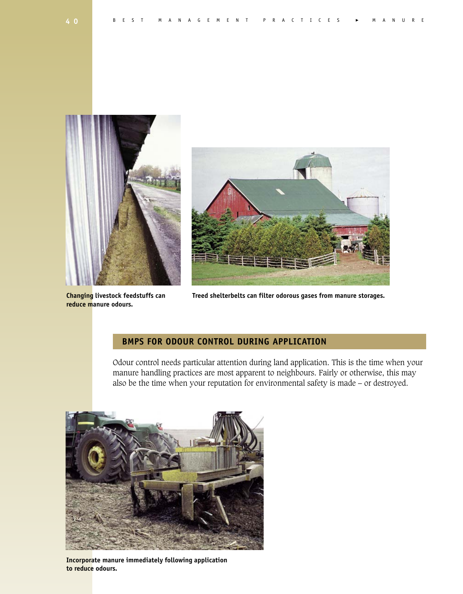



**reduce manure odours.**

**Changing livestock feedstuffs can Treed shelterbelts can filter odorous gases from manure storages.**

# **BMPS FOR ODOUR CONTROL DURING APPLICATION**

Odour control needs particular attention during land application. This is the time when your manure handling practices are most apparent to neighbours. Fairly or otherwise, this may also be the time when your reputation for environmental safety is made – or destroyed.



**Incorporate manure immediately following application to reduce odours.**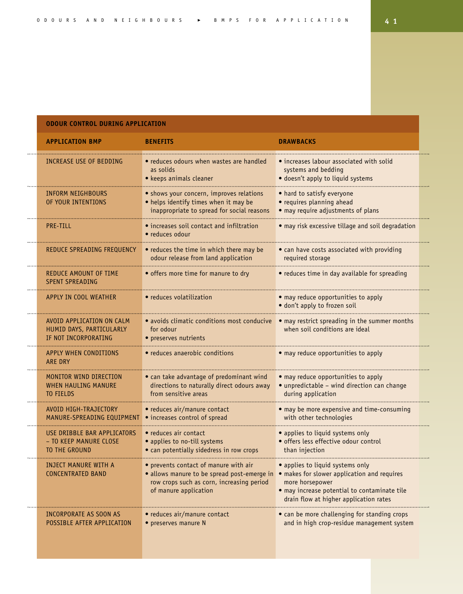# **ODOUR CONTROL DURING APPLICATION**

| <b>APPLICATION BMP</b>                                                                      | <b>BENEFITS</b>                                                                                                                                                                                        | <b>DRAWBACKS</b>                                                                                                                              |  |
|---------------------------------------------------------------------------------------------|--------------------------------------------------------------------------------------------------------------------------------------------------------------------------------------------------------|-----------------------------------------------------------------------------------------------------------------------------------------------|--|
| INCREASE USE OF BEDDING                                                                     | • reduces odours when wastes are handled<br>as solids<br>• keeps animals cleaner                                                                                                                       | • increases labour associated with solid<br>systems and bedding<br>· doesn't apply to liquid systems                                          |  |
| INFORM NEIGHBOURS<br>OF YOUR INTENTIONS                                                     | • shows your concern, improves relations<br>• helps identify times when it may be<br>inappropriate to spread for social reasons                                                                        | • hard to satisfy everyone<br>• requires planning ahead<br>· may require adjustments of plans                                                 |  |
| <b>PRE-TILL</b>                                                                             | • increases soil contact and infiltration<br>• reduces odour                                                                                                                                           | · may risk excessive tillage and soil degradation                                                                                             |  |
| REDUCE SPREADING FREQUENCY                                                                  | • reduces the time in which there may be<br>odour release from land application                                                                                                                        | • can have costs associated with providing<br>required storage                                                                                |  |
| REDUCE AMOUNT OF TIME<br><b>SPENT SPREADING</b>                                             | • offers more time for manure to dry                                                                                                                                                                   | • reduces time in day available for spreading                                                                                                 |  |
| APPLY IN COOL WEATHER                                                                       | • reduces volatilization                                                                                                                                                                               | • may reduce opportunities to apply<br>• don't apply to frozen soil                                                                           |  |
| AVOID APPLICATION ON CALM<br>HUMID DAYS, PARTICULARLY<br><b><i>IF NOT INCORPORATING</i></b> | · avoids climatic conditions most conducive<br>for odour<br>$\bullet$ preserves nutrients                                                                                                              | • may restrict spreading in the summer months<br>when soil conditions are ideal                                                               |  |
| <b>APPLY WHEN CONDITIONS</b><br><b>ARE DRY</b>                                              | • reduces anaerobic conditions                                                                                                                                                                         | • may reduce opportunities to apply                                                                                                           |  |
| MONITOR WIND DIRECTION<br><b>WHEN HAULING MANURE</b><br>TO FIELDS                           | • can take advantage of predominant wind<br>directions to naturally direct odours away<br>from sensitive areas                                                                                         | • may reduce opportunities to apply<br>· unpredictable - wind direction can change<br>during application                                      |  |
| AVOID HIGH-TRAJECTORY<br>MANURE-SPREADING EQUIPMENT                                         | • reduces air/manure contact<br>• increases control of spread                                                                                                                                          | • may be more expensive and time-consuming<br>with other technologies                                                                         |  |
| USE DRIBBLE BAR APPLICATORS<br>- TO KEEP MANURE CLOSE<br>TO THE GROUND                      | • reduces air contact<br>• applies to no-till systems<br>· can potentially sidedress in row crops                                                                                                      | • applies to liquid systems only<br>· offers less effective odour control<br>than injection                                                   |  |
| INJECT MANURE WITH A<br><b>CONCENTRATED BAND</b>                                            | • prevents contact of manure with air<br>• allows manure to be spread post-emerge in • makes for slower application and requires<br>row crops such as corn, increasing period<br>of manure application | • applies to liquid systems only<br>more horsepower<br>· may increase potential to contaminate tile<br>drain flow at higher application rates |  |
| INCORPORATE AS SOON AS<br>POSSIBLE AFTER APPLICATION                                        | • reduces air/manure contact<br>• preserves manure N                                                                                                                                                   | • can be more challenging for standing crops<br>and in high crop-residue management system                                                    |  |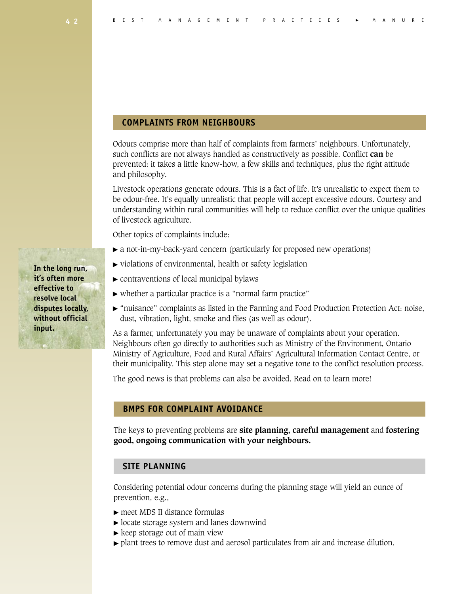#### **COMPLAINTS FROM NEIGHBOURS**

Odours comprise more than half of complaints from farmers' neighbours. Unfortunately, such conflicts are not always handled as constructively as possible. Conflict **can** be prevented: it takes a little know-how, a few skills and techniques, plus the right attitude and philosophy.

Livestock operations generate odours. This is a fact of life. It's unrealistic to expect them to be odour-free. It's equally unrealistic that people will accept excessive odours. Courtesy and understanding within rural communities will help to reduce conflict over the unique qualities of livestock agriculture.

Other topics of complaints include:

- a not-in-my-back-yard concern (particularly for proposed new operations)
- violations of environmental, health or safety legislation
- $\triangleright$  contraventions of local municipal bylaws
- whether a particular practice is a "normal farm practice"
- "nuisance" complaints as listed in the Farming and Food Production Protection Act: noise, dust, vibration, light, smoke and flies (as well as odour).

As a farmer, unfortunately you may be unaware of complaints about your operation. Neighbours often go directly to authorities such as Ministry of the Environment, Ontario Ministry of Agriculture, Food and Rural Affairs' Agricultural Information Contact Centre, or their municipality. This step alone may set a negative tone to the conflict resolution process.

The good news is that problems can also be avoided. Read on to learn more!

# **BMPS FOR COMPLAINT AVOIDANCE**

The keys to preventing problems are **site planning, careful management** and **fostering good, ongoing communication with your neighbours.**

#### **SITE PLANNING**

Considering potential odour concerns during the planning stage will yield an ounce of prevention, e.g.,

- meet MDS II distance formulas
- $\triangleright$  locate storage system and lanes downwind
- $\blacktriangleright$  keep storage out of main view
- plant trees to remove dust and aerosol particulates from air and increase dilution.

**In the long run, it's often more effective to resolve local disputes locally, without official input.**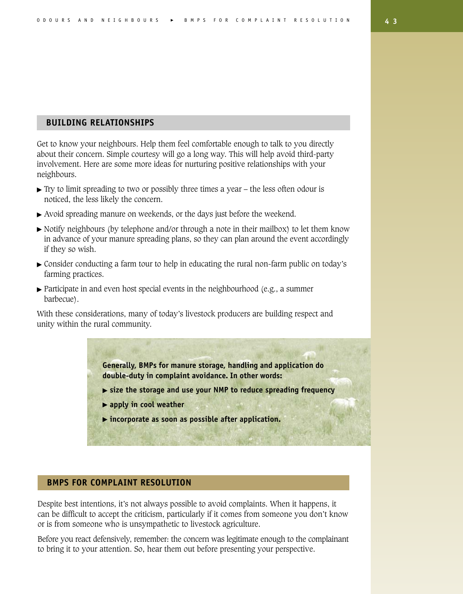# **BUILDING RELATIONSHIPS**

Get to know your neighbours. Help them feel comfortable enough to talk to you directly about their concern. Simple courtesy will go a long way. This will help avoid third-party involvement. Here are some more ideas for nurturing positive relationships with your neighbours.

- $\triangleright$  Try to limit spreading to two or possibly three times a year the less often odour is noticed, the less likely the concern.
- Avoid spreading manure on weekends, or the days just before the weekend.
- $\triangleright$  Notify neighbours (by telephone and/or through a note in their mailbox) to let them know in advance of your manure spreading plans, so they can plan around the event accordingly if they so wish.
- Consider conducting a farm tour to help in educating the rural non-farm public on today's farming practices.
- $\triangleright$  Participate in and even host special events in the neighbourhood (e.g., a summer barbecue).

With these considerations, many of today's livestock producers are building respect and unity within the rural community.

> **Generally, BMPs for manure storage, handling and application do double-duty in complaint avoidance. In other words:**

- **size the storage and use your NMP to reduce spreading frequency**
- **apply in cool weather**
- **incorporate as soon as possible after application.**

### **BMPS FOR COMPLAINT RESOLUTION**

Despite best intentions, it's not always possible to avoid complaints. When it happens, it can be difficult to accept the criticism, particularly if it comes from someone you don't know or is from someone who is unsympathetic to livestock agriculture.

Before you react defensively, remember: the concern was legitimate enough to the complainant to bring it to your attention. So, hear them out before presenting your perspective.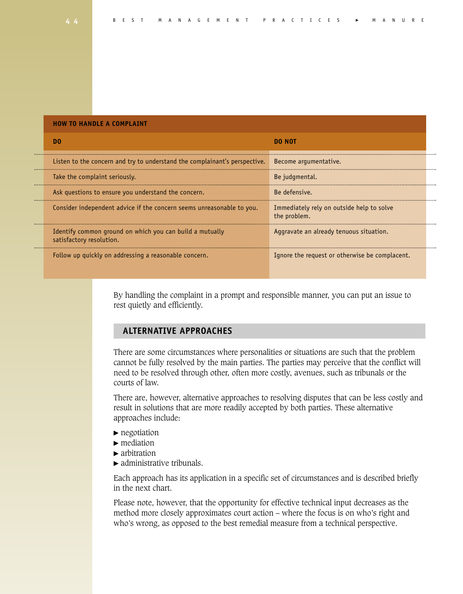| <b>HOW TO HANDLE A COMPLAINT</b>                                                     |                                                           |  |
|--------------------------------------------------------------------------------------|-----------------------------------------------------------|--|
| -no                                                                                  | <b>DO NOT</b>                                             |  |
| Listen to the concern and try to understand the complainant's perspective.           | Become argumentative.                                     |  |
| Take the complaint seriously.                                                        | Be judgmental.                                            |  |
| Ask questions to ensure you understand the concern.                                  | Be defensive.                                             |  |
| Consider independent advice if the concern seems unreasonable to you.                | Immediately rely on outside help to solve<br>the problem. |  |
| Identify common ground on which you can build a mutually<br>satisfactory resolution. | Aggravate an already tenuous situation.                   |  |
| Follow up quickly on addressing a reasonable concern.                                | Ignore the request or otherwise be complacent.            |  |

By handling the complaint in a prompt and responsible manner, you can put an issue to rest quietly and efficiently.

# **ALTERNATIVE APPROACHES**

There are some circumstances where personalities or situations are such that the problem cannot be fully resolved by the main parties. The parties may perceive that the conflict will need to be resolved through other, often more costly, avenues, such as tribunals or the courts of law.

There are, however, alternative approaches to resolving disputes that can be less costly and result in solutions that are more readily accepted by both parties. These alternative approaches include:

- $\blacktriangleright$  negotiation
- $\blacktriangleright$  mediation
- $\blacktriangleright$  arbitration
- $\blacktriangleright$  administrative tribunals.

Each approach has its application in a specific set of circumstances and is described briefly in the next chart.

Please note, however, that the opportunity for effective technical input decreases as the method more closely approximates court action – where the focus is on who's right and who's wrong, as opposed to the best remedial measure from a technical perspective.